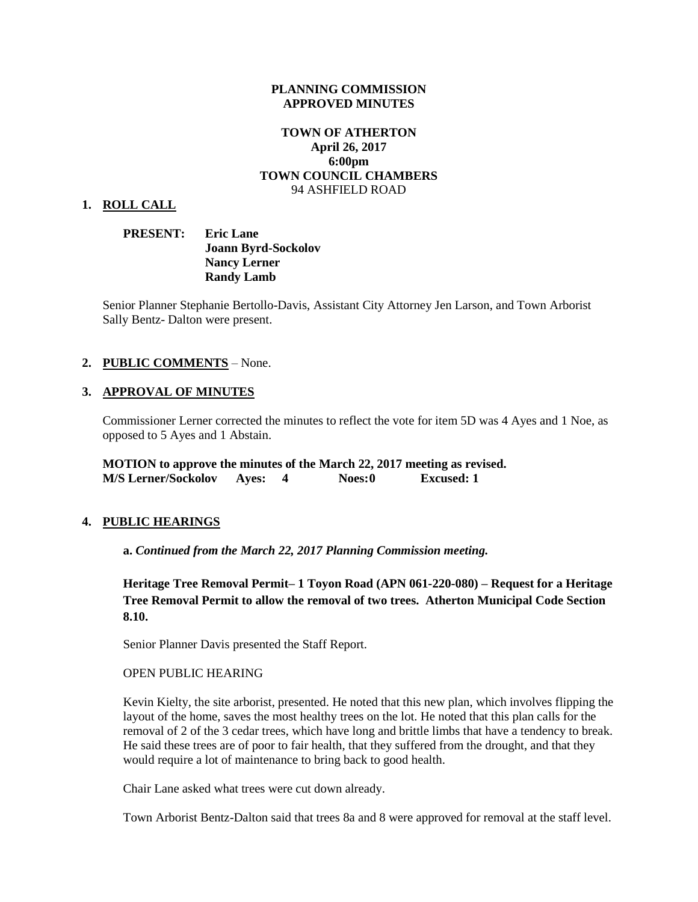### **PLANNING COMMISSION APPROVED MINUTES**

## **TOWN OF ATHERTON April 26, 2017 6:00pm TOWN COUNCIL CHAMBERS** 94 ASHFIELD ROAD

#### **1. ROLL CALL**

| <b>PRESENT:</b> | <b>Eric Lane</b>           |
|-----------------|----------------------------|
|                 | <b>Joann Byrd-Sockolov</b> |
|                 | <b>Nancy Lerner</b>        |
|                 | <b>Randy Lamb</b>          |

Senior Planner Stephanie Bertollo-Davis, Assistant City Attorney Jen Larson, and Town Arborist Sally Bentz- Dalton were present.

### **2. PUBLIC COMMENTS** – None.

#### **3. APPROVAL OF MINUTES**

Commissioner Lerner corrected the minutes to reflect the vote for item 5D was 4 Ayes and 1 Noe, as opposed to 5 Ayes and 1 Abstain.

**MOTION to approve the minutes of the March 22, 2017 meeting as revised. M/S Lerner/Sockolov Ayes: 4 Noes:0 Excused: 1**

#### **4. PUBLIC HEARINGS**

**a.** *Continued from the March 22, 2017 Planning Commission meeting.*

**Heritage Tree Removal Permit– 1 Toyon Road (APN 061-220-080) – Request for a Heritage Tree Removal Permit to allow the removal of two trees. Atherton Municipal Code Section 8.10.**

Senior Planner Davis presented the Staff Report.

#### OPEN PUBLIC HEARING

Kevin Kielty, the site arborist, presented. He noted that this new plan, which involves flipping the layout of the home, saves the most healthy trees on the lot. He noted that this plan calls for the removal of 2 of the 3 cedar trees, which have long and brittle limbs that have a tendency to break. He said these trees are of poor to fair health, that they suffered from the drought, and that they would require a lot of maintenance to bring back to good health.

Chair Lane asked what trees were cut down already.

Town Arborist Bentz-Dalton said that trees 8a and 8 were approved for removal at the staff level.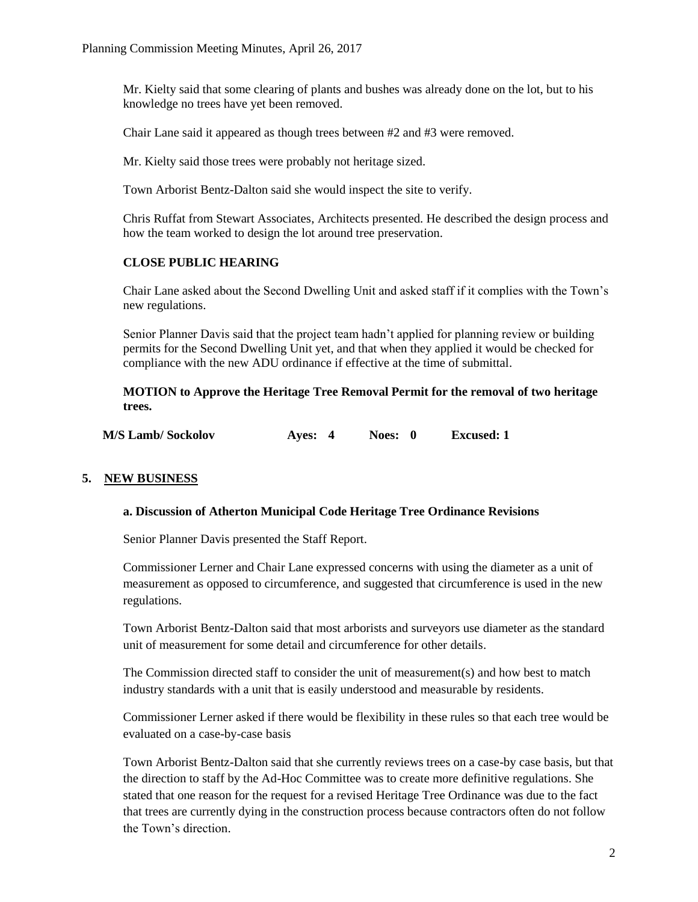Mr. Kielty said that some clearing of plants and bushes was already done on the lot, but to his knowledge no trees have yet been removed.

Chair Lane said it appeared as though trees between #2 and #3 were removed.

Mr. Kielty said those trees were probably not heritage sized.

Town Arborist Bentz-Dalton said she would inspect the site to verify.

Chris Ruffat from Stewart Associates, Architects presented. He described the design process and how the team worked to design the lot around tree preservation.

## **CLOSE PUBLIC HEARING**

Chair Lane asked about the Second Dwelling Unit and asked staff if it complies with the Town's new regulations.

Senior Planner Davis said that the project team hadn't applied for planning review or building permits for the Second Dwelling Unit yet, and that when they applied it would be checked for compliance with the new ADU ordinance if effective at the time of submittal.

**MOTION to Approve the Heritage Tree Removal Permit for the removal of two heritage trees.** 

| <b>M/S Lamb/ Sockolov</b> | Ayes: 4 | Noes: 0 | <b>Excused: 1</b> |
|---------------------------|---------|---------|-------------------|
|---------------------------|---------|---------|-------------------|

# **5. NEW BUSINESS**

## **a. Discussion of Atherton Municipal Code Heritage Tree Ordinance Revisions**

Senior Planner Davis presented the Staff Report.

Commissioner Lerner and Chair Lane expressed concerns with using the diameter as a unit of measurement as opposed to circumference, and suggested that circumference is used in the new regulations.

Town Arborist Bentz-Dalton said that most arborists and surveyors use diameter as the standard unit of measurement for some detail and circumference for other details.

The Commission directed staff to consider the unit of measurement(s) and how best to match industry standards with a unit that is easily understood and measurable by residents.

Commissioner Lerner asked if there would be flexibility in these rules so that each tree would be evaluated on a case-by-case basis

Town Arborist Bentz-Dalton said that she currently reviews trees on a case-by case basis, but that the direction to staff by the Ad-Hoc Committee was to create more definitive regulations. She stated that one reason for the request for a revised Heritage Tree Ordinance was due to the fact that trees are currently dying in the construction process because contractors often do not follow the Town's direction.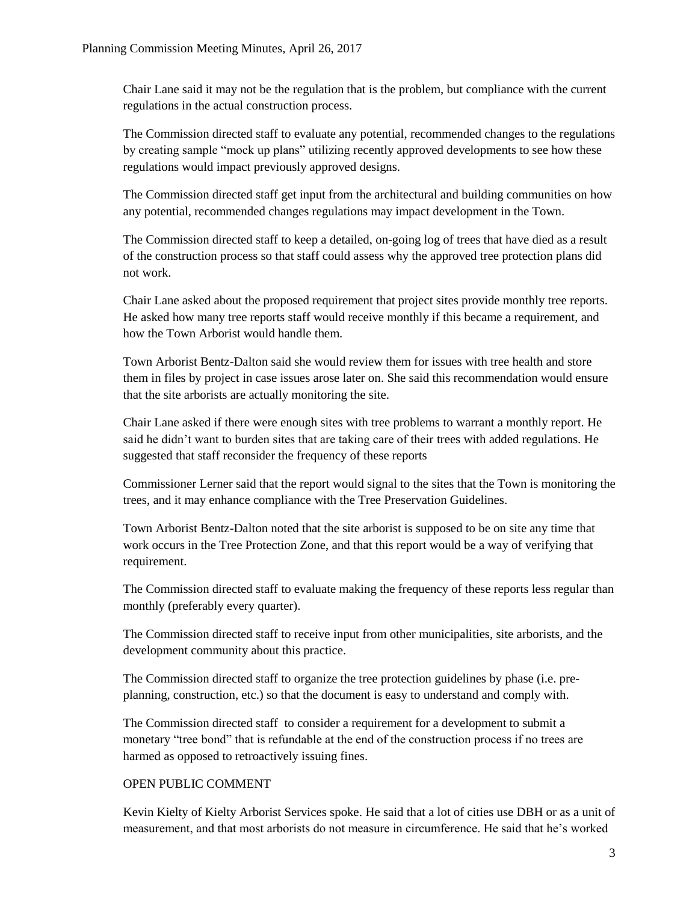Chair Lane said it may not be the regulation that is the problem, but compliance with the current regulations in the actual construction process.

The Commission directed staff to evaluate any potential, recommended changes to the regulations by creating sample "mock up plans" utilizing recently approved developments to see how these regulations would impact previously approved designs.

The Commission directed staff get input from the architectural and building communities on how any potential, recommended changes regulations may impact development in the Town.

The Commission directed staff to keep a detailed, on-going log of trees that have died as a result of the construction process so that staff could assess why the approved tree protection plans did not work.

Chair Lane asked about the proposed requirement that project sites provide monthly tree reports. He asked how many tree reports staff would receive monthly if this became a requirement, and how the Town Arborist would handle them.

Town Arborist Bentz-Dalton said she would review them for issues with tree health and store them in files by project in case issues arose later on. She said this recommendation would ensure that the site arborists are actually monitoring the site.

Chair Lane asked if there were enough sites with tree problems to warrant a monthly report. He said he didn't want to burden sites that are taking care of their trees with added regulations. He suggested that staff reconsider the frequency of these reports

Commissioner Lerner said that the report would signal to the sites that the Town is monitoring the trees, and it may enhance compliance with the Tree Preservation Guidelines.

Town Arborist Bentz-Dalton noted that the site arborist is supposed to be on site any time that work occurs in the Tree Protection Zone, and that this report would be a way of verifying that requirement.

The Commission directed staff to evaluate making the frequency of these reports less regular than monthly (preferably every quarter).

The Commission directed staff to receive input from other municipalities, site arborists, and the development community about this practice.

The Commission directed staff to organize the tree protection guidelines by phase (i.e. preplanning, construction, etc.) so that the document is easy to understand and comply with.

The Commission directed staff to consider a requirement for a development to submit a monetary "tree bond" that is refundable at the end of the construction process if no trees are harmed as opposed to retroactively issuing fines.

## OPEN PUBLIC COMMENT

Kevin Kielty of Kielty Arborist Services spoke. He said that a lot of cities use DBH or as a unit of measurement, and that most arborists do not measure in circumference. He said that he's worked